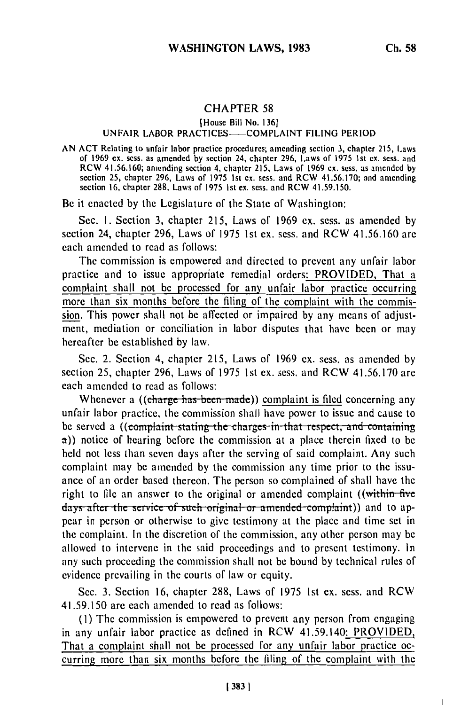## CHAPTER **58**

[House Bill No. 136]

## UNFAIR LABOR PRACTICES-COMPLAINT FILING PERIOD

AN ACT Relating to unfair labor practice procedures; amending section 3, chapter 215, Laws of 1969 ex. sess. as amended by section 24, chapter 296, Laws of 1975 Ist ex. sess. and RCW 41.56.160; amending section 4, chapter 215, Laws of 1969 ex. sess. as amended by section 25, chapter 296, Laws of 1975 Ist ex. sess. and RCW 41.56.170; and amending section **16,** chapter 288, Laws of 1975 1st ex. sess. and RCW 41.59.150.

Be it enacted by the Legislature of the State of Washington:

Sec. **1.** Section 3, chapter 215, Laws of 1969 ex. sess. as amended by section 24, chapter 296, Laws of 1975 1st ex. sess. and RCW 41.56.160 are each amended to read as follows:

The commission is empowered and directed to prevent any unfair labor practice and to issue appropriate remedial orders: PROVIDED, That a complaint shall not be processed for any unfair labor practice occurring more than six months before the filing of the complaint with the commission. This power shall not be affected or impaired by any means of adjustment, mediation or conciliation in labor disputes that have been or may hereafter be established by law.

Sec. 2. Section 4, chapter 215, Laws of 1969 ex. sess. as amended by section 25, chapter 296, Laws of 1975 1st ex. sess. and RCW 41.56.170 are each amended to read as follows:

Whenever a ((charge has been made)) complaint is filed concerning any unfair labor practice, the commission shall have power to issue and cause to be served a ((complaint stating the charges in that respect, and containing a)) notice of hearing before the commission at a place therein fixed to be held not less than seven days after the serving of said complaint. Any such complaint may be amended by the commission any time prior to the issuance of an order based thereon. The person so complained of shall have the right to file an answer to the original or amended complaint ((within-five days after the service of such original or amended complaint)) and to appear in person or otherwise to give testimony at the place and time set in the complaint. In the discretion of the commission, any other person may be allowed to intervene in the said proceedings and to present testimony. In any such proceeding the commission shall not be bound by technical rules of evidence prevailing in the courts of law or equity.

Sec. 3. Section 16, chapter 288, Laws of 1975 Ist ex. sess. and RCW 41.59.150 are each amended to read as follows:

**(1)** The commission is empowered to prevent any person from engaging in any unfair labor practice as defined in RCW 41.59.140: PROVIDED, That a complaint shall not be processed for any unfair labor practice occurring more than six months before the filing of the complaint with the